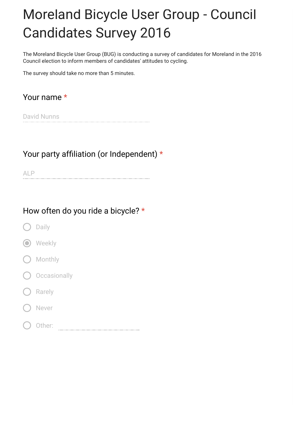# Moreland Bicycle User Group - Council Candidates Survey 2016

The Moreland Bicycle User Group (BUG) is conducting a survey of candidates for Moreland in the 2016 Council election to inform members of candidates' attitudes to cycling.

The survey should take no more than 5 minutes.

Your name \*

David Nunns

#### Your party affiliation (or Independent)  $*$

ALP

#### How often do you ride a bicycle? \*

- Daily
- **O** Weekly
- Monthly
- **Occasionally**
- Rarely
- Never
- Other: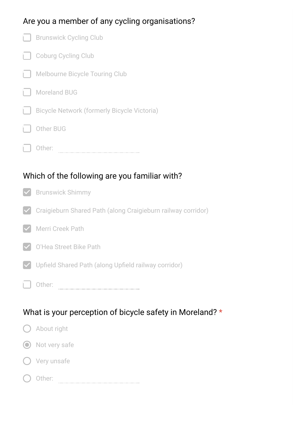### Are you a member of any cycling organisations?

|                                               | <b>Brunswick Cycling Club</b>                                |  |
|-----------------------------------------------|--------------------------------------------------------------|--|
|                                               | <b>Coburg Cycling Club</b>                                   |  |
|                                               | <b>Melbourne Bicycle Touring Club</b>                        |  |
|                                               | <b>Moreland BUG</b>                                          |  |
|                                               | <b>Bicycle Network (formerly Bicycle Victoria)</b>           |  |
|                                               | <b>Other BUG</b>                                             |  |
|                                               | Other:                                                       |  |
|                                               |                                                              |  |
| Which of the following are you familiar with? |                                                              |  |
|                                               |                                                              |  |
|                                               | <b>Brunswick Shimmy</b>                                      |  |
|                                               | Craigieburn Shared Path (along Craigieburn railway corridor) |  |
|                                               | <b>Merri Creek Path</b>                                      |  |

 $\vee$  Upfield Shared Path (along Upfield railway corridor)

Other:

## What is your perception of bicycle safety in Moreland? \*

| () About right  |
|-----------------|
| O Not very safe |
| () Very unsafe  |
| Other:          |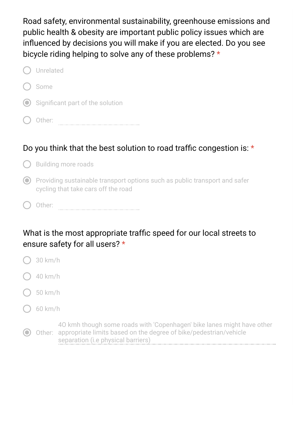Road safety, environmental sustainability, greenhouse emissions and public health & obesity are important public policy issues which are influenced by decisions you will make if you are elected. Do you see bicycle riding helping to solve any of these problems? \*

| Unrelated                            |
|--------------------------------------|
| ( ) Some                             |
| (O) Significant part of the solution |
| Other:                               |

#### Do you think that the best solution to road traffic congestion is:  $\star$

**Building more roads** 

- $\odot$  Providing sustainable transport options such as public transport and safer cycling that take cars off the road
- Other:

### What is the most appropriate traffic speed for our local streets to ensure safety for all users? \*

- 30 km/h
- 40 km/h
- 50 km/h
- 60 km/h

Other: appropriate limits based on the degree of bike/pedestrian/vehicle 4O kmh though some roads with 'Copenhagen' bike lanes might have other separation (i.e physical barriers)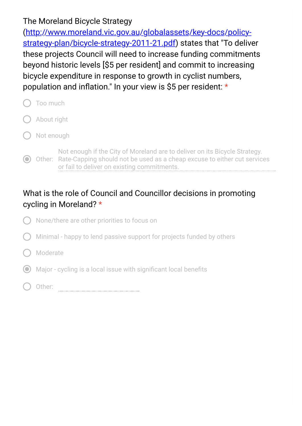#### The Moreland Bicycle Strategy

(http://www.moreland.vic.gov.au/globalassets/key-docs/policy[strategy-plan/bicycle-strategy-2011-21.pdf\) states that "To delive](https://www.google.com/url?q=http://www.moreland.vic.gov.au/globalassets/key-docs/policy-strategy-plan/bicycle-strategy-2011-21.pdf&sa=D&ust=1475556716465000&usg=AFQjCNGXehNgS1zJV6GcapRl_yU7QPOMBA)r these projects Council will need to increase funding commitments beyond historic levels [\$5 per resident] and commit to increasing bicycle expenditure in response to growth in cyclist numbers, population and inflation." In your view is \$5 per resident:  $*$ 

- Too much About right
- Not enough

Other: Rate-Capping should not be used as a cheap excuse to either cut services Not enough if the City of Moreland are to deliver on its Bicycle Strategy. or fail to deliver on existing commitments.

#### What is the role of Council and Councillor decisions in promoting cycling in Moreland? \*

- None/there are other priorities to focus on
- Minimal happy to lend passive support for projects funded by others
- Moderate
- $\odot$  Major cycling is a local issue with significant local benefits
- Other: